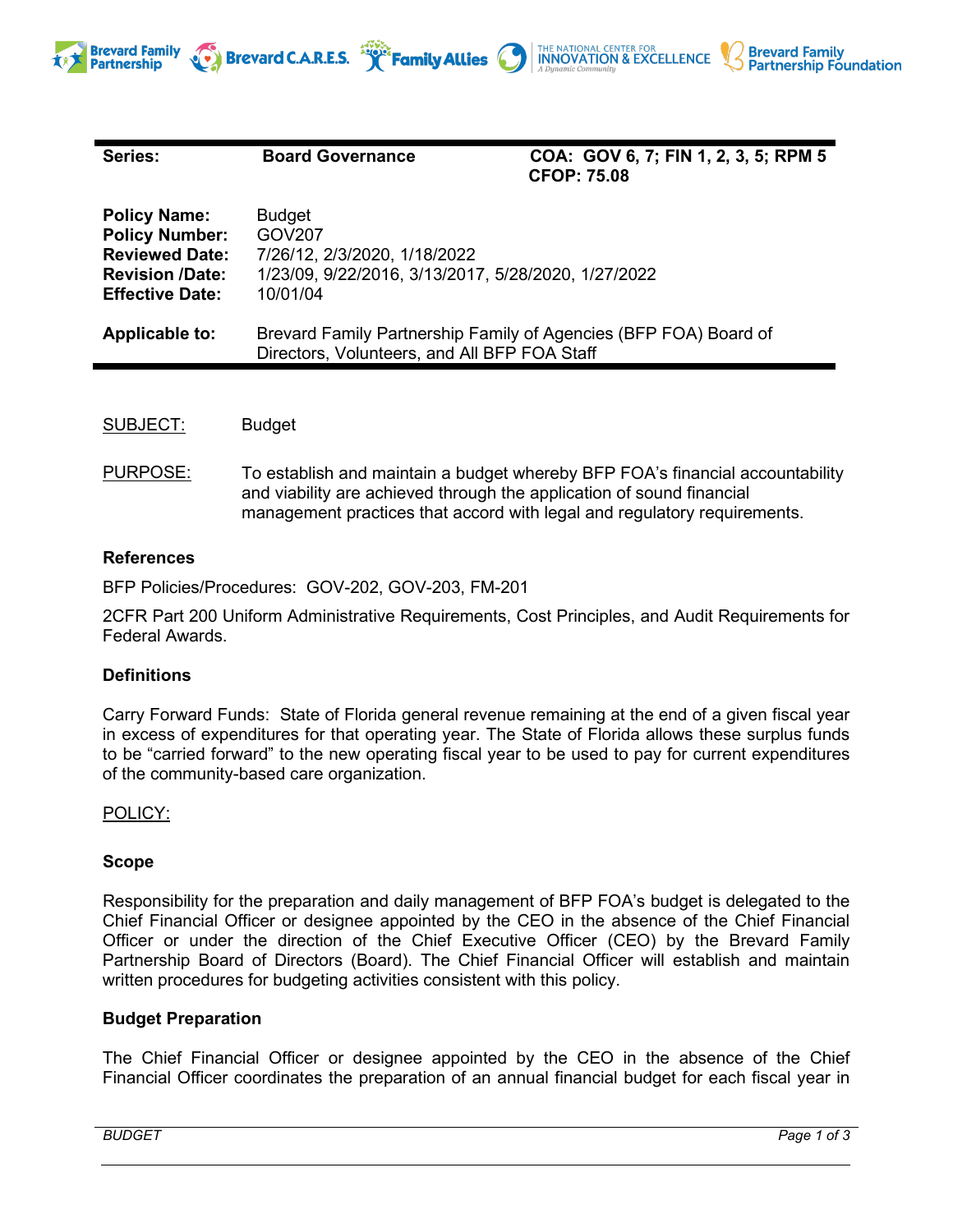



| Series:                                                                                                                   | <b>Board Governance</b>                                                                                                    | COA: GOV 6, 7; FIN 1, 2, 3, 5; RPM 5<br><b>CFOP: 75.08</b> |
|---------------------------------------------------------------------------------------------------------------------------|----------------------------------------------------------------------------------------------------------------------------|------------------------------------------------------------|
| <b>Policy Name:</b><br><b>Policy Number:</b><br><b>Reviewed Date:</b><br><b>Revision /Date:</b><br><b>Effective Date:</b> | <b>Budget</b><br>GOV207<br>7/26/12, 2/3/2020, 1/18/2022<br>1/23/09, 9/22/2016, 3/13/2017, 5/28/2020, 1/27/2022<br>10/01/04 |                                                            |
| <b>Applicable to:</b>                                                                                                     | Brevard Family Partnership Family of Agencies (BFP FOA) Board of<br>Directors, Volunteers, and All BFP FOA Staff           |                                                            |
|                                                                                                                           |                                                                                                                            |                                                            |

SUBJECT: Budget

PURPOSE: To establish and maintain a budget whereby BFP FOA's financial accountability and viability are achieved through the application of sound financial management practices that accord with legal and regulatory requirements.

## **References**

BFP Policies/Procedures: GOV-202, GOV-203, FM-201

2CFR Part 200 Uniform Administrative Requirements, Cost Principles, and Audit Requirements for Federal Awards.

## **Definitions**

Carry Forward Funds: State of Florida general revenue remaining at the end of a given fiscal year in excess of expenditures for that operating year. The State of Florida allows these surplus funds to be "carried forward" to the new operating fiscal year to be used to pay for current expenditures of the community-based care organization.

## POLICY:

## **Scope**

Responsibility for the preparation and daily management of BFP FOA's budget is delegated to the Chief Financial Officer or designee appointed by the CEO in the absence of the Chief Financial Officer or under the direction of the Chief Executive Officer (CEO) by the Brevard Family Partnership Board of Directors (Board). The Chief Financial Officer will establish and maintain written procedures for budgeting activities consistent with this policy.

## **Budget Preparation**

The Chief Financial Officer or designee appointed by the CEO in the absence of the Chief Financial Officer coordinates the preparation of an annual financial budget for each fiscal year in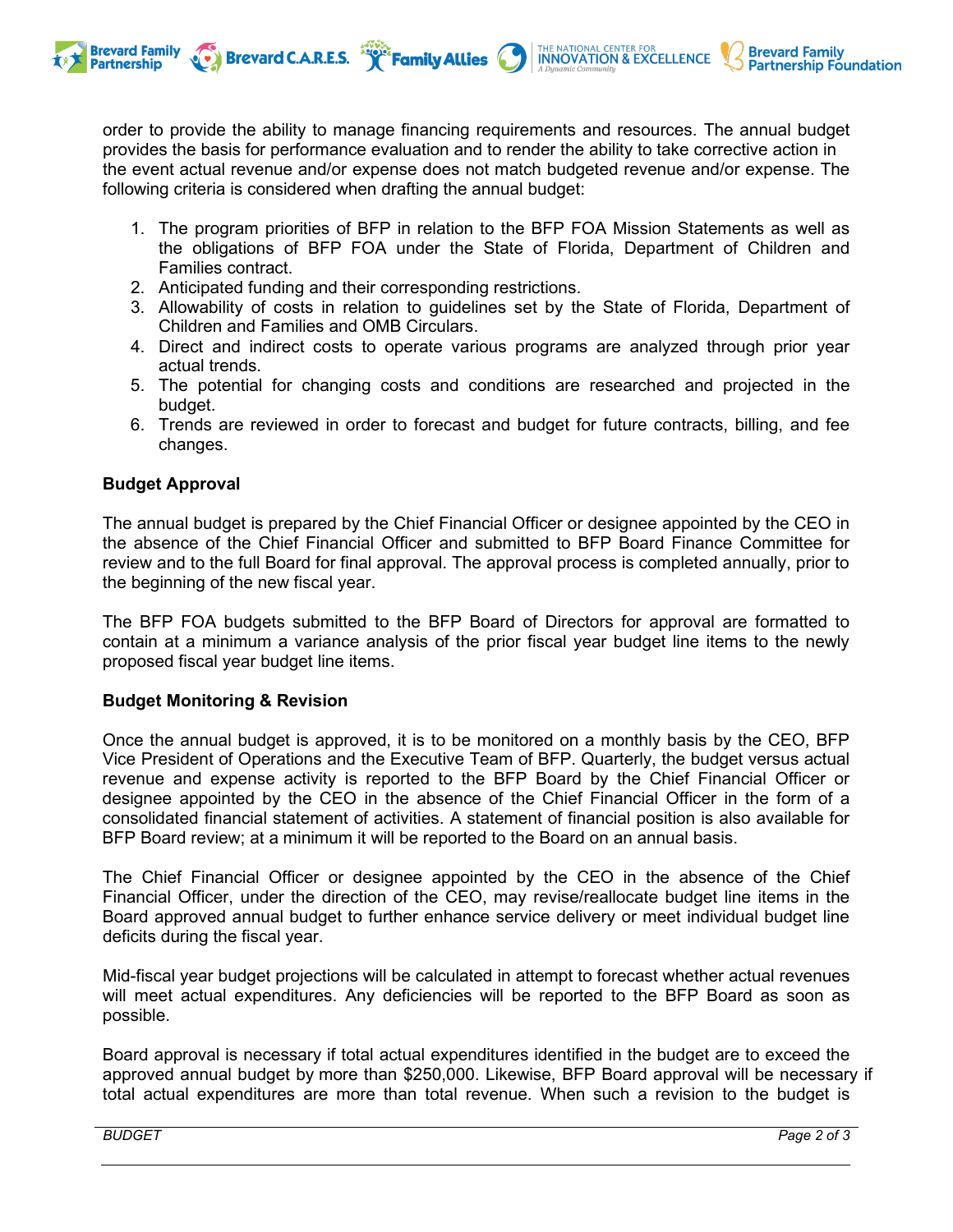

1. The program priorities of BFP in relation to the BFP FOA Mission Statements as well as the obligations of BFP FOA under the State of Florida, Department of Children and Families contract.

THE NATIONAL CENTER FOR **INNOVATION & EXCELLENCE** 

**Brevard Family** 

**Partnership Foundation** 

2. Anticipated funding and their corresponding restrictions.

Brevard C.A.R.E.S. **Family Allies** 

- 3. Allowability of costs in relation to guidelines set by the State of Florida, Department of Children and Families and OMB Circulars.
- 4. Direct and indirect costs to operate various programs are analyzed through prior year actual trends.
- 5. The potential for changing costs and conditions are researched and projected in the budget.
- 6. Trends are reviewed in order to forecast and budget for future contracts, billing, and fee changes.

# **Budget Approval**

**Brevard Family** 

**Partnership** 

The annual budget is prepared by the Chief Financial Officer or designee appointed by the CEO in the absence of the Chief Financial Officer and submitted to BFP Board Finance Committee for review and to the full Board for final approval. The approval process is completed annually, prior to the beginning of the new fiscal year.

The BFP FOA budgets submitted to the BFP Board of Directors for approval are formatted to contain at a minimum a variance analysis of the prior fiscal year budget line items to the newly proposed fiscal year budget line items.

## **Budget Monitoring & Revision**

Once the annual budget is approved, it is to be monitored on a monthly basis by the CEO, BFP Vice President of Operations and the Executive Team of BFP. Quarterly, the budget versus actual revenue and expense activity is reported to the BFP Board by the Chief Financial Officer or designee appointed by the CEO in the absence of the Chief Financial Officer in the form of a consolidated financial statement of activities. A statement of financial position is also available for BFP Board review; at a minimum it will be reported to the Board on an annual basis.

The Chief Financial Officer or designee appointed by the CEO in the absence of the Chief Financial Officer, under the direction of the CEO, may revise/reallocate budget line items in the Board approved annual budget to further enhance service delivery or meet individual budget line deficits during the fiscal year.

Mid-fiscal year budget projections will be calculated in attempt to forecast whether actual revenues will meet actual expenditures. Any deficiencies will be reported to the BFP Board as soon as possible.

Board approval is necessary if total actual expenditures identified in the budget are to exceed the approved annual budget by more than \$250,000. Likewise, BFP Board approval will be necessary if total actual expenditures are more than total revenue. When such a revision to the budget is